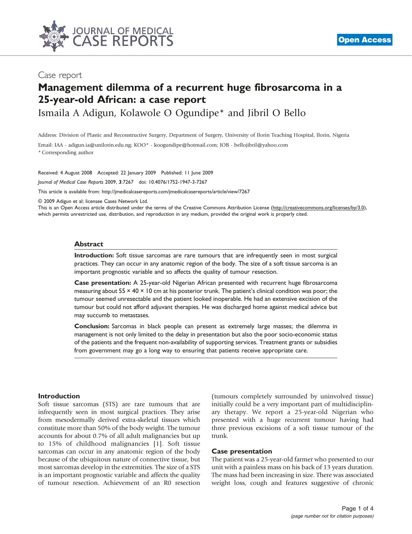

## Case report

# Management dilemma of a recurrent huge fibrosarcoma in a 25-year-old African: a case report

Ismaila A Adigun, Kolawole O Ogundipe\* and Jibril O Bello

Address: Division of Plastic and Reconstructive Surgery, Department of Surgery, University of Ilorin Teaching Hospital, Ilorin, Nigeria

Email: IAA - adigun.ia@unilorin.edu.ng; KOO\* - koogundipe@hotmail.com; JOB - bellojibril@yahoo.com \* Corresponding author

Received: 4 August 2008 Accepted: 22 January 2009 Published: 11 June 2009

Journal of Medical Case Reports 2009, 3:7267 doi: 10.4076/1752-1947-3-7267

This article is available from:<http://jmedicalcasereports.com/jmedicalcasereports/article/view/7267>

© 2009 Adigun et al; licensee Cases Network Ltd.

This is an Open Access article distributed under the terms of the Creative Commons Attribution License [\(http://creativecommons.org/licenses/by/3.0\)](http://creativecommons.org/licenses/by/3.0), which permits unrestricted use, distribution, and reproduction in any medium, provided the original work is properly cited.

#### **Abstract**

Introduction: Soft tissue sarcomas are rare tumours that are infrequently seen in most surgical practices. They can occur in any anatomic region of the body. The size of a soft tissue sarcoma is an important prognostic variable and so affects the quality of tumour resection.

Case presentation: A 25-year-old Nigerian African presented with recurrent huge fibrosarcoma measuring about  $55 \times 40 \times 10$  cm at his posterior trunk. The patient's clinical condition was poor; the tumour seemed unresectable and the patient looked inoperable. He had an extensive excision of the tumour but could not afford adjuvant therapies. He was discharged home against medical advice but may succumb to metastases.

Conclusion: Sarcomas in black people can present as extremely large masses; the dilemma in management is not only limited to the delay in presentation but also the poor socio-economic status of the patients and the frequent non-availability of supporting services. Treatment grants or subsidies from government may go a long way to ensuring that patients receive appropriate care.

#### Introduction

Soft tissue sarcomas (STS) are rare tumours that are infrequently seen in most surgical practices. They arise from mesodermally derived extra-skeletal tissues which constitute more than 50% of the body weight. The tumour accounts for about 0.7% of all adult malignancies but up to 15% of childhood malignancies [[1](#page-3-0)]. Soft tissue sarcomas can occur in any anatomic region of the body because of the ubiquitous nature of connective tissue, but most sarcomas develop in the extremities. The size of a STS is an important prognostic variable and affects the quality of tumour resection. Achievement of an R0 resection (tumours completely surrounded by uninvolved tissue) initially could be a very important part of multidisciplinary therapy. We report a 25-year-old Nigerian who presented with a huge recurrent tumour having had three previous excisions of a soft tissue tumour of the trunk.

#### Case presentation

The patient was a 25-year-old farmer who presented to our unit with a painless mass on his back of 13 years duration. The mass had been increasing in size. There was associated weight loss, cough and features suggestive of chronic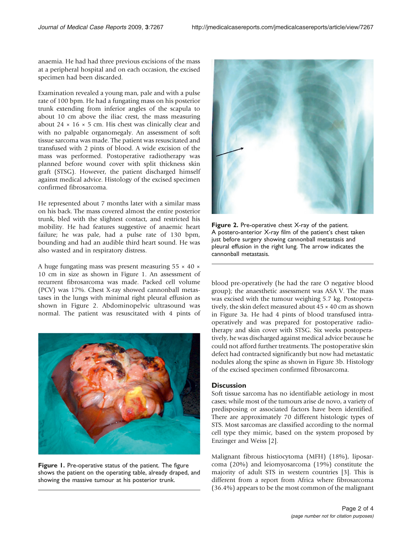anaemia. He had had three previous excisions of the mass at a peripheral hospital and on each occasion, the excised specimen had been discarded.

Examination revealed a young man, pale and with a pulse rate of 100 bpm. He had a fungating mass on his posterior trunk extending from inferior angles of the scapula to about 10 cm above the iliac crest, the mass measuring about 24  $\times$  16  $\times$  5 cm. His chest was clinically clear and with no palpable organomegaly. An assessment of soft tissue sarcoma was made. The patient was resuscitated and transfused with 2 pints of blood. A wide excision of the mass was performed. Postoperative radiotherapy was planned before wound cover with split thickness skin graft (STSG). However, the patient discharged himself against medical advice. Histology of the excised specimen confirmed fibrosarcoma.

He represented about 7 months later with a similar mass on his back. The mass covered almost the entire posterior trunk, bled with the slightest contact, and restricted his mobility. He had features suggestive of anaemic heart failure; he was pale, had a pulse rate of 130 bpm, bounding and had an audible third heart sound. He was also wasted and in respiratory distress.

A huge fungating mass was present measuring  $55 \times 40 \times$ 10 cm in size as shown in Figure 1. An assessment of recurrent fibrosarcoma was made. Packed cell volume (PCV) was 17%. Chest X-ray showed cannonball metastases in the lungs with minimal right pleural effusion as shown in Figure 2. Abdominopelvic ultrasound was normal. The patient was resuscitated with 4 pints of



Figure 1. Pre-operative status of the patient. The figure shows the patient on the operating table, already draped, and showing the massive tumour at his posterior trunk.



Figure 2. Pre-operative chest X-ray of the patient. A postero-anterior X-ray film of the patient's chest taken just before surgery showing cannonball metastasis and pleural effusion in the right lung. The arrow indicates the cannonball metastasis.

blood pre-operatively (he had the rare O negative blood group); the anaesthetic assessment was ASA V. The mass was excised with the tumour weighing 5.7 kg. Postoperatively, the skin defect measured about 45 × 40 cm as shown in [Figure 3a](#page-2-0). He had 4 pints of blood transfused intraoperatively and was prepared for postoperative radiotherapy and skin cover with STSG. Six weeks postoperatively, he was discharged against medical advice because he could not afford further treatments. The postoperative skin defect had contracted significantly but now had metastatic nodules along the spine as shown in [Figure 3b.](#page-2-0) Histology of the excised specimen confirmed fibrosarcoma.

## **Discussion**

Soft tissue sarcoma has no identifiable aetiology in most cases; while most of the tumours arise de novo, a variety of predisposing or associated factors have been identified. There are approximately 70 different histologic types of STS. Most sarcomas are classified according to the normal cell type they mimic, based on the system proposed by Enzinger and Weiss [[2](#page-3-0)].

Malignant fibrous histiocytoma (MFH) (18%), liposarcoma (20%) and leiomyosarcoma (19%) constitute the majority of adult STS in western countries [[3](#page-3-0)]. This is different from a report from Africa where fibrosarcoma (36.4%) appears to be the most common of the malignant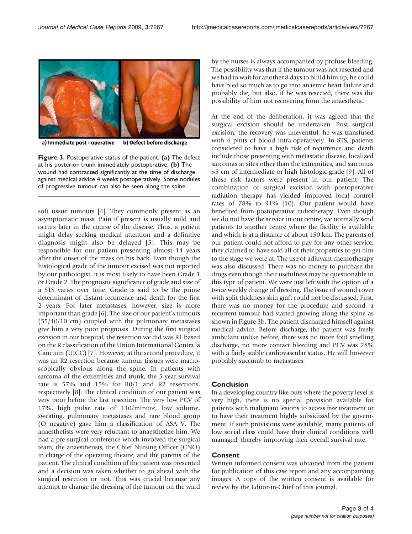<span id="page-2-0"></span>

a) Immediate post - operative b) Defect before discharge

Figure 3. Postoperative status of the patient. (a) The defect at his posterior trunk immediately postoperative. (b) The wound had contracted significantly at the time of discharge against medical advice 4 weeks postoperatively. Some nodules of progressive tumour can also be seen along the spine.

soft tissue tumours [\[4\]](#page-3-0). They commonly present as an asymptomatic mass. Pain if present is usually mild and occurs later in the course of the disease. Thus, a patient might delay seeking medical attention and a definitive diagnosis might also be delayed [[5\]](#page-3-0). This may be responsible for our patient presenting almost 14 years after the onset of the mass on his back. Even though the histological grade of the tumour excised was not reported by our pathologist, it is most likely to have been Grade 1 or Grade 2. The prognostic significance of grade and size of a STS varies over time. Grade is said to be the prime determinant of distant recurrence and death for the first 2 years. For later metastases, however, size is more important than grade [\[6](#page-3-0)]. The size of our patient's tumours (55/40/10 cm) coupled with the pulmonary metastases give him a very poor prognosis. During the first surgical excision in our hospital, the resection we did was R1 based on the R classification of the Union International Contra la Cancrum (UICC) [\[7](#page-3-0)]. However, at the second procedure, it was an R2 resection because tumour tissues were macroscopically obvious along the spine. In patients with sarcoma of the extremities and trunk, the 5-year survival rate is 57% and 15% for R0/1 and R2 resections, respectively [\[8\]](#page-3-0). The clinical condition of our patient was very poor before the last resection. The very low PCV of 17%, high pulse rate of 130/minute, low volume, sweating, pulmonary metastases and rare blood group (O negative) gave him a classification of ASA V. The anaesthetists were very reluctant to anaesthetize him. We had a pre-surgical conference which involved the surgical team, the anaesthetists, the Chief Nursing Officer (CNO) in charge of the operating theatre, and the parents of the patient. The clinical condition of the patient was presented and a decision was taken whether to go ahead with the surgical resection or not. This was crucial because any attempt to change the dressing of the tumour on the ward

by the nurses is always accompanied by profuse bleeding. The possibility was that if the tumour was not resected and we had to wait for another 8 days to build him up, he could have bled so much as to go into anaemic heart failure and probably die, but also, if he was resected, there was the possibility of him not recovering from the anaesthetic.

At the end of the deliberation, it was agreed that the surgical excision should be undertaken. Post surgical excision, the recovery was uneventful; he was transfused with 4 pints of blood intra-operatively. In STS, patients considered to have a high risk of recurrence and death include those presenting with metastatic disease, localized sarcomas at sites other than the extremities, and sarcomas >5 cm of intermediate or high histologic grade [\[9](#page-3-0)]. All of these risk factors were present in our patient. The combination of surgical excision with postoperative radiation therapy has yielded improved local control rates of 78% to 91% [[10\]](#page-3-0). Our patient would have benefited from postoperative radiotherapy. Even though we do not have the service in our centre, we normally send patients to another centre where the facility is available and which is at a distance of about 150 km. The parents of our patient could not afford to pay for any other service; they claimed to have sold all of their properties to get him to the stage we were at. The use of adjuvant chemotherapy was also discussed. There was no money to purchase the drugs even though their usefulness may be questionable in this type of patient. We were just left with the option of a twice weekly change of dressing. The issue of wound cover with split thickness skin graft could not be discussed. First, there was no money for the procedure and second, a recurrent tumour had started growing along the spine as shown in Figure 3b. The patient discharged himself against medical advice. Before discharge, the patient was freely ambulant unlike before, there was no more foul smelling discharge, no more contact bleeding and PCV was 28% with a fairly stable cardiovascular status. He will however probably succumb to metastases.

## Conclusion

In a developing country like ours where the poverty level is very high, there is no special provision available for patients with malignant lesions to access free treatment or to have their treatment highly subsidized by the government. If such provisions were available, many patients of low social class could have their clinical conditions well managed, thereby improving their overall survival rate.

## Consent

Written informed consent was obtained from the patient for publication of this case report and any accompanying images. A copy of the written consent is available for review by the Editor-in-Chief of this journal.